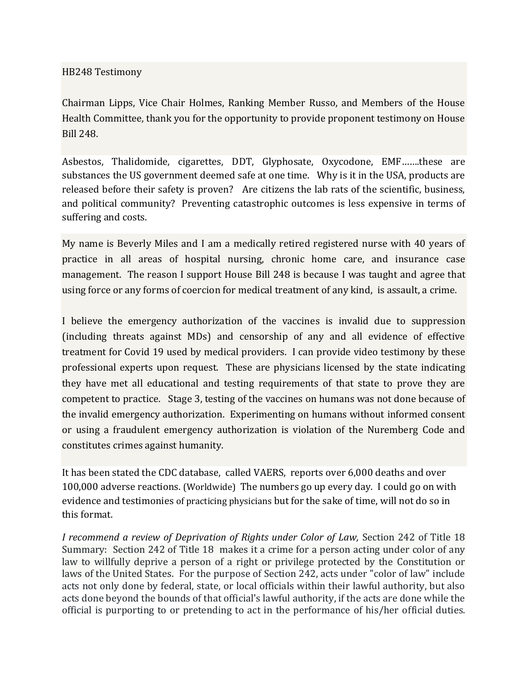## HB248 Testimony

Chairman Lipps, Vice Chair Holmes, Ranking Member Russo, and Members of the House Health Committee, thank you for the opportunity to provide proponent testimony on House Bill 248.

Asbestos, Thalidomide, cigarettes, DDT, Glyphosate, Oxycodone, EMF…….these are substances the US government deemed safe at one time. Why is it in the USA, products are released before their safety is proven? Are citizens the lab rats of the scientific, business, and political community? Preventing catastrophic outcomes is less expensive in terms of suffering and costs.

My name is Beverly Miles and I am a medically retired registered nurse with 40 years of practice in all areas of hospital nursing, chronic home care, and insurance case management. The reason I support House Bill 248 is because I was taught and agree that using force or any forms of coercion for medical treatment of any kind, is assault, a crime.

I believe the emergency authorization of the vaccines is invalid due to suppression (including threats against MDs) and censorship of any and all evidence of effective treatment for Covid 19 used by medical providers. I can provide video testimony by these professional experts upon request. These are physicians licensed by the state indicating they have met all educational and testing requirements of that state to prove they are competent to practice. Stage 3, testing of the vaccines on humans was not done because of the invalid emergency authorization. Experimenting on humans without informed consent or using a fraudulent emergency authorization is violation of the Nuremberg Code and constitutes crimes against humanity.

It has been stated the CDC database, called VAERS, reports over 6,000 deaths and over 100,000 adverse reactions. (Worldwide) The numbers go up every day. I could go on with evidence and testimonies of practicing physicians but for the sake of time, will not do so in this format.

*I recommend a review of Deprivation of Rights under Color of Law,* Section 242 of Title 18 Summary: Section 242 of Title 18 makes it a crime for a person acting under color of any law to willfully deprive a person of a right or privilege protected by the Constitution or laws of the United States. For the purpose of Section 242, acts under "color of law" include acts not only done by federal, state, or local officials within their lawful authority, but also acts done beyond the bounds of that official's lawful authority, if the acts are done while the official is purporting to or pretending to act in the performance of his/her official duties.